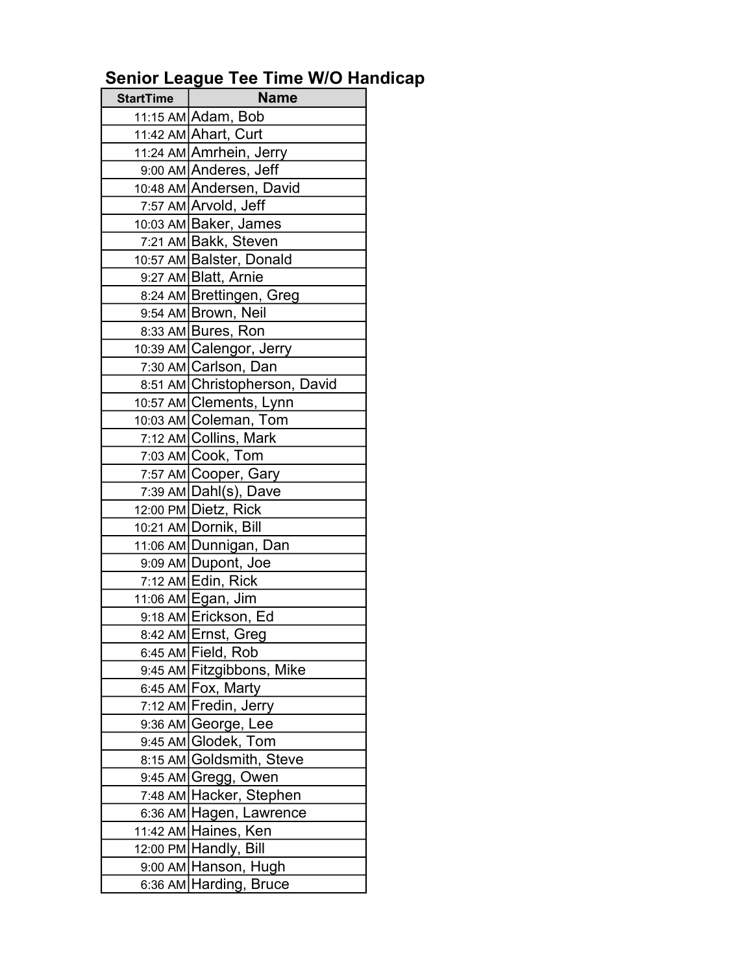## Senior League Tee Time W/O Handicap

| <b>StartTime</b> | <b>Name</b>                                    |
|------------------|------------------------------------------------|
|                  | 11:15 AM Adam, Bob                             |
|                  | 11:42 AM Ahart, Curt                           |
|                  | 11:24 AM Amrhein, Jerry                        |
|                  | 9:00 AM Anderes, Jeff                          |
|                  | 10:48 AM Andersen, David                       |
|                  | 7:57 AM Arvold, Jeff                           |
|                  | 10:03 AM Baker, James                          |
|                  | 7:21 AM Bakk, Steven                           |
|                  | 10:57 AM Balster, Donald                       |
|                  | 9:27 AM Blatt, Arnie                           |
|                  | 8:24 AM Brettingen, Greg                       |
|                  | 9:54 AM Brown, Neil                            |
|                  | 8:33 AM Bures, Ron                             |
|                  | 10:39 AM Calengor, Jerry                       |
|                  | 7:30 AM Carlson, Dan                           |
|                  | 8:51 AM Christopherson, David                  |
|                  | 10:57 AM Clements, Lynn                        |
|                  | 10:03 AM Coleman, Tom                          |
|                  | 7:12 AM Collins, Mark                          |
|                  | 7:03 AM Cook, Tom                              |
|                  | 7:57 AM Cooper, Gary                           |
|                  | $7:39$ AM Dahl(s), Dave                        |
|                  | 12:00 PM Dietz, Rick                           |
|                  | 10:21 AM Dornik, Bill                          |
|                  | 11:06 AM Dunnigan, Dan                         |
|                  | 9:09 AM Dupont, Joe                            |
|                  | 7:12 AM Edin, Rick                             |
|                  | 11:06 AM Egan, Jim                             |
|                  | 9:18 AM Erickson, Ed                           |
|                  | 8:42 AM Ernst, Greg                            |
|                  | 6:45 AM Field, Rob                             |
|                  | 9:45 AM Fitzgibbons, Mike                      |
|                  | 6:45 AM Fox, Marty                             |
|                  | 7:12 AM Fredin, Jerry                          |
|                  | 9:36 AM George, Lee<br>9:45 AM Glodek, Tom     |
|                  | 8:15 AM Goldsmith, Steve                       |
|                  |                                                |
|                  | 9:45 AM Gregg, Owen<br>7:48 AM Hacker, Stephen |
|                  | 6:36 AM Hagen, Lawrence                        |
|                  | 11:42 AM Haines, Ken                           |
|                  | 12:00 PM Handly, Bill                          |
|                  | 9:00 AM Hanson, Hugh                           |
|                  | 6:36 AM Harding, Bruce                         |
|                  |                                                |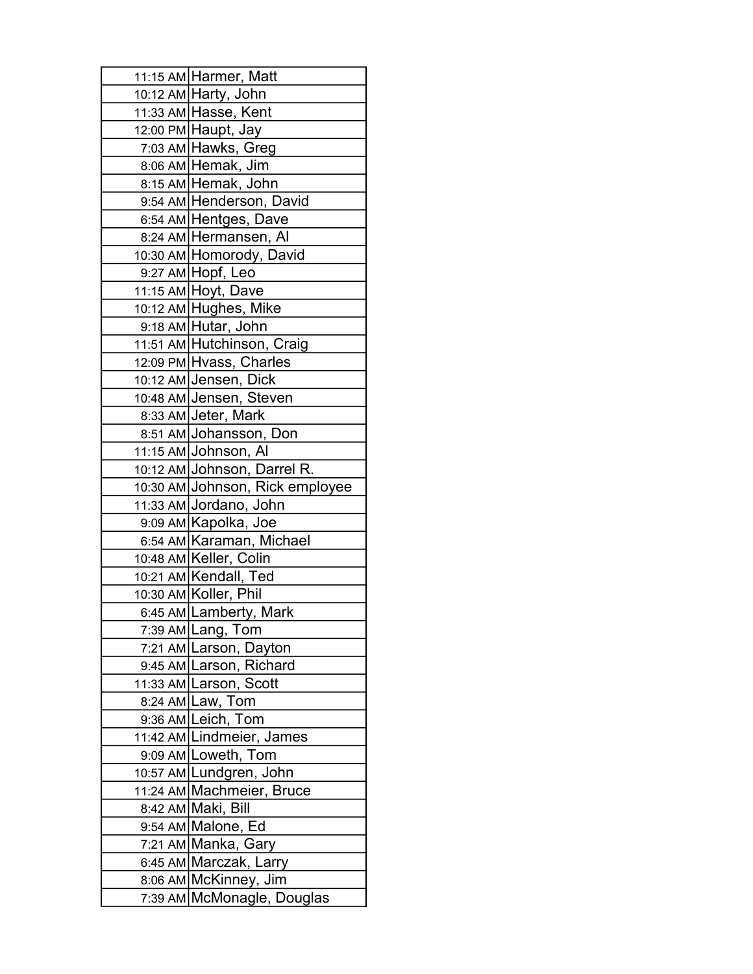| 11:15 AM Harmer, Matt                           |
|-------------------------------------------------|
| 10:12 AM Harty, John                            |
| 11:33 AM∣Hasse, Kent                            |
| 12:00 PM Haupt, Jay                             |
| 7:03 AM Hawks, Greg                             |
| 8:06 AM Hemak, Jim                              |
| 8:15 AM Hemak, John                             |
| 9:54 AM Henderson, David                        |
| 6:54 AM Hentges, Dave                           |
| 8:24 AM Hermansen, Al                           |
| 10:30 AM Homorody, David                        |
| 9:27 AM Hopf, Leo                               |
| 11:15 AM Hoyt, Dave                             |
| 10:12 AM Hughes, Mike                           |
| 9:18 AM Hutar, John                             |
| 11:51 AM Hutchinson, Craig                      |
| 12:09 PM Hvass, Charles                         |
| 10:12 AM Jensen, Dick                           |
| 10:48 AM Jensen, Steven                         |
| 8:33 AM Jeter, Mark                             |
| 8:51 AM Johansson, Don                          |
| 11:15 AM Johnson, Al                            |
| 10:12 AM Johnson, Darrel R.                     |
| 10:30 AM Johnson, Rick employee                 |
| 11:33 AM Jordano, John                          |
| 9:09 AM Kapolka, Joe                            |
| 6:54 AM Karaman, Michael                        |
| 10:48 AM Keller, Colin                          |
| 10:21 AM Kendall, Ted                           |
| 10:30 AM Koller, Phil                           |
| 6:45 AM Lamberty, Mark                          |
| 7:39 AM Lang, Tom                               |
| 7:21 AM Larson, Dayton                          |
| 9:45 AM Larson, Richard                         |
| 11:33 AM Larson, Scott                          |
| 8:24 AM Law, Tom                                |
| 9:36 AM Leich, Tom<br>11:42 AM Lindmeier, James |
| 9:09 AM Loweth, Tom                             |
| 10:57 AM Lundgren, John                         |
| 11:24 AM Machmeier, Bruce                       |
| 8:42 AM Maki, Bill                              |
| 9:54 AM Malone, Ed                              |
| 7:21 AM Manka, Gary                             |
| 6:45 AM Marczak, Larry                          |
| 8:06 AM McKinney, Jim                           |
| 7:39 AM McMonagle, Douglas                      |
|                                                 |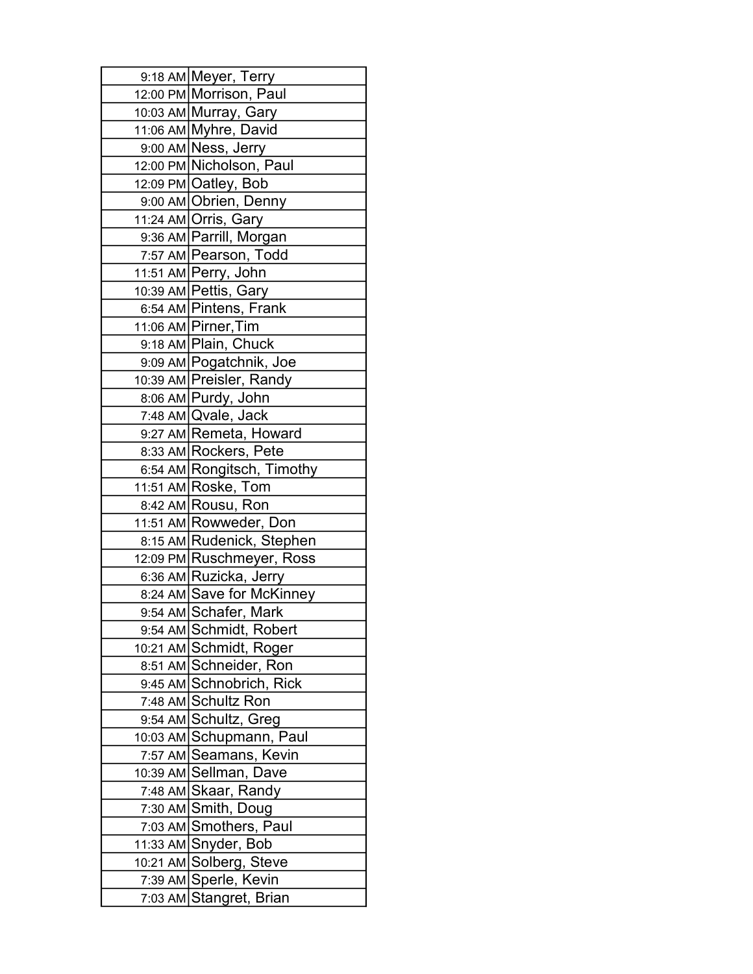| 9:18 AM Meyer, Terry       |
|----------------------------|
| 12:00 PM Morrison, Paul    |
| 10:03 AM Murray, Gary      |
| 11:06 AM Myhre, David      |
| 9:00 AM Ness, Jerry        |
| 12:00 PM Nicholson, Paul   |
| 12:09 PM Oatley, Bob       |
| 9:00 AM Obrien, Denny      |
| 11:24 AM Orris, Gary       |
| 9:36 AM Parrill, Morgan    |
| 7:57 AM Pearson, Todd      |
| 11:51 AM Perry, John       |
| 10:39 AM Pettis, Gary      |
| 6:54 AM Pintens, Frank     |
| 11:06 AM Pirner, Tim       |
| 9:18 AM Plain, Chuck       |
| 9:09 AM Pogatchnik, Joe    |
| 10:39 AM Preisler, Randy   |
| 8:06 AM Purdy, John        |
| 7:48 AM Qvale, Jack        |
| 9:27 AM Remeta, Howard     |
| 8:33 AM Rockers, Pete      |
| 6:54 AM Rongitsch, Timothy |
| 11:51 AM Roske, Tom        |
| 8:42 AM Rousu, Ron         |
| 11:51 AM Rowweder, Don     |
| 8:15 AM Rudenick, Stephen  |
| 12:09 PM Ruschmeyer, Ross  |
| 6:36 AM Ruzicka, Jerry     |
| 8:24 AM Save for McKinney  |
| 9:54 AM Schafer, Mark      |
| 9:54 AM Schmidt, Robert    |
| 10:21 AM Schmidt, Roger    |
| 8:51 AM Schneider, Ron     |
| 9:45 AM Schnobrich, Rick   |
| 7:48 AM Schultz Ron        |
| 9:54 AM Schultz, Greg      |
| 10:03 AM Schupmann, Paul   |
| 7:57 AM Seamans, Kevin     |
| 10:39 AM Sellman, Dave     |
| 7:48 AM Skaar, Randy       |
| 7:30 AM Smith, Doug        |
| 7:03 AM Smothers, Paul     |
| 11:33 AM Snyder, Bob       |
| 10:21 AM Solberg, Steve    |
| 7:39 AM Sperle, Kevin      |
| 7:03 AM Stangret, Brian    |